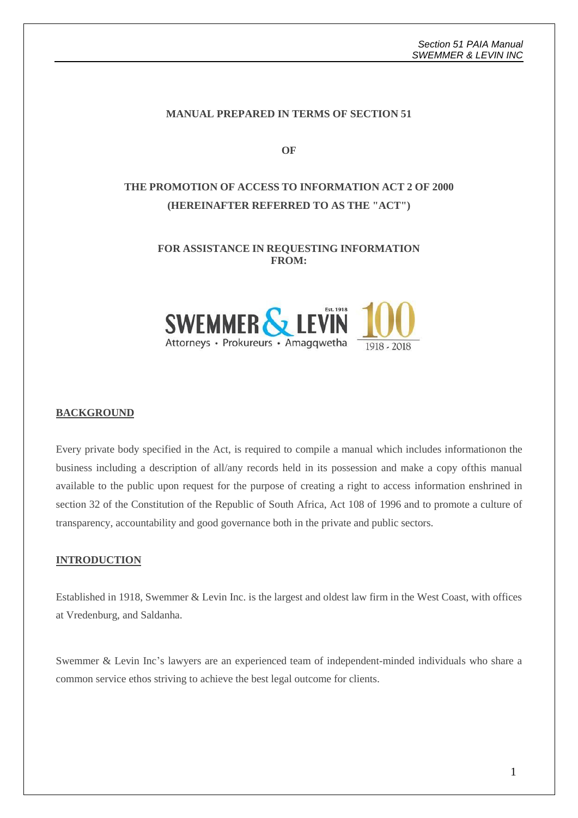### **MANUAL PREPARED IN TERMS OF SECTION 51**

**OF**

# **THE PROMOTION OF ACCESS TO INFORMATION ACT 2 OF 2000 (HEREINAFTER REFERRED TO AS THE "ACT")**

### **FOR ASSISTANCE IN REQUESTING INFORMATION FROM:**



#### **BACKGROUND**

Every private body specified in the Act, is required to compile a manual which includes informationon the business including a description of all/any records held in its possession and make a copy ofthis manual available to the public upon request for the purpose of creating a right to access information enshrined in section 32 of the Constitution of the Republic of South Africa, Act 108 of 1996 and to promote a culture of transparency, accountability and good governance both in the private and public sectors.

#### **INTRODUCTION**

Established in 1918, Swemmer & Levin Inc. is the largest and oldest law firm in the West Coast, with offices at Vredenburg, and Saldanha.

Swemmer & Levin Inc's lawyers are an experienced team of independent-minded individuals who share a common service ethos striving to achieve the best legal outcome for clients.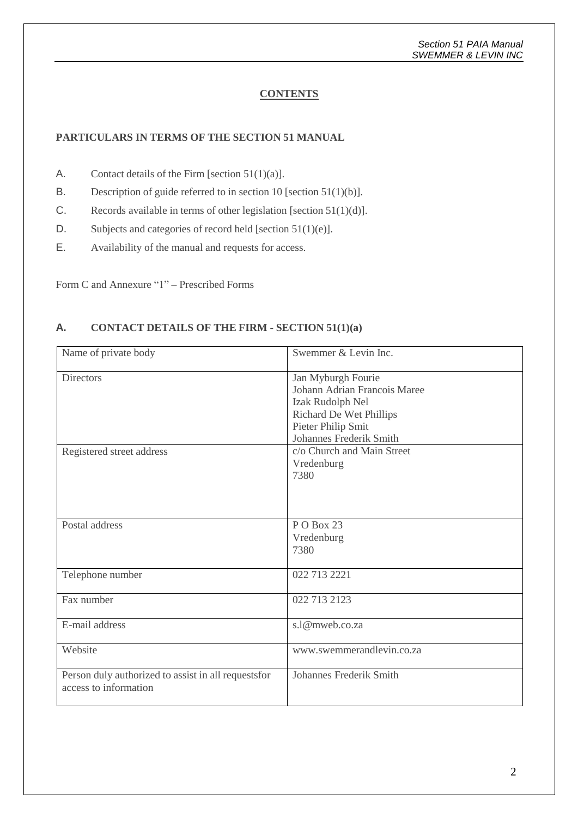## **CONTENTS**

### **PARTICULARS IN TERMS OF THE SECTION 51 MANUAL**

- A. Contact details of the Firm [section  $51(1)(a)$ ].
- B. Description of guide referred to in section 10 [section 51(1)(b)].
- C. Records available in terms of other legislation [section 51(1)(d)].
- D. Subjects and categories of record held [section 51(1)(e)].
- E. Availability of the manual and requests for access.

Form C and Annexure "1" – Prescribed Forms

## **A. CONTACT DETAILS OF THE FIRM - SECTION 51(1)(a)**

| Name of private body                                                          | Swemmer & Levin Inc.                                                                                                                               |
|-------------------------------------------------------------------------------|----------------------------------------------------------------------------------------------------------------------------------------------------|
| <b>Directors</b>                                                              | Jan Myburgh Fourie<br>Johann Adrian Francois Maree<br>Izak Rudolph Nel<br>Richard De Wet Phillips<br>Pieter Philip Smit<br>Johannes Frederik Smith |
| Registered street address                                                     | c/o Church and Main Street<br>Vredenburg<br>7380                                                                                                   |
| Postal address                                                                | PO Box 23<br>Vredenburg<br>7380                                                                                                                    |
| Telephone number                                                              | 022 713 2221                                                                                                                                       |
| Fax number                                                                    | 022 713 2123                                                                                                                                       |
| E-mail address                                                                | s.1@mweb.co.za                                                                                                                                     |
| Website                                                                       | www.swemmerandlevin.co.za                                                                                                                          |
| Person duly authorized to assist in all requests for<br>access to information | <b>Johannes Frederik Smith</b>                                                                                                                     |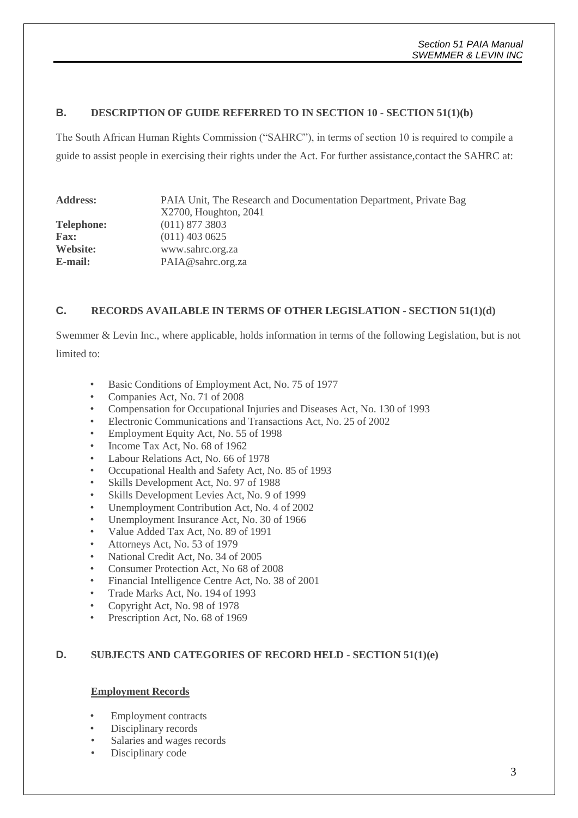### **B. DESCRIPTION OF GUIDE REFERRED TO IN SECTION 10 - SECTION 51(1)(b)**

The South African Human Rights Commission ("SAHRC"), in terms of section 10 is required to compile a guide to assist people in exercising their rights under the Act. For further assistance,contact the SAHRC at:

| <b>Address:</b>   | PAIA Unit, The Research and Documentation Department, Private Bag<br>X2700, Houghton, 2041 |
|-------------------|--------------------------------------------------------------------------------------------|
| <b>Telephone:</b> | $(011)$ 877 3803                                                                           |
| <b>Fax:</b>       | $(011)$ 403 0625                                                                           |
| Website:          | www.sahrc.org.za                                                                           |
| E-mail:           | PAIA@sahrc.org.za                                                                          |

### **C. RECORDS AVAILABLE IN TERMS OF OTHER LEGISLATION - SECTION 51(1)(d)**

Swemmer & Levin Inc., where applicable, holds information in terms of the following Legislation, but is not limited to:

- Basic Conditions of Employment Act, No. 75 of 1977
- Companies Act, No. 71 of 2008
- Compensation for Occupational Injuries and Diseases Act, No. 130 of 1993
- Electronic Communications and Transactions Act, No. 25 of 2002
- Employment Equity Act, No. 55 of 1998
- Income Tax Act, No. 68 of 1962
- Labour Relations Act, No. 66 of 1978
- Occupational Health and Safety Act, No. 85 of 1993
- Skills Development Act, No. 97 of 1988
- Skills Development Levies Act, No. 9 of 1999
- Unemployment Contribution Act, No. 4 of 2002
- Unemployment Insurance Act, No. 30 of 1966
- Value Added Tax Act, No. 89 of 1991
- Attorneys Act, No. 53 of 1979
- National Credit Act, No. 34 of 2005
- Consumer Protection Act, No 68 of 2008
- Financial Intelligence Centre Act, No. 38 of 2001
- Trade Marks Act, No. 194 of 1993
- Copyright Act, No. 98 of 1978
- Prescription Act, No. 68 of 1969

### **D. SUBJECTS AND CATEGORIES OF RECORD HELD - SECTION 51(1)(e)**

#### **Employment Records**

- Employment contracts
- Disciplinary records
- Salaries and wages records
- Disciplinary code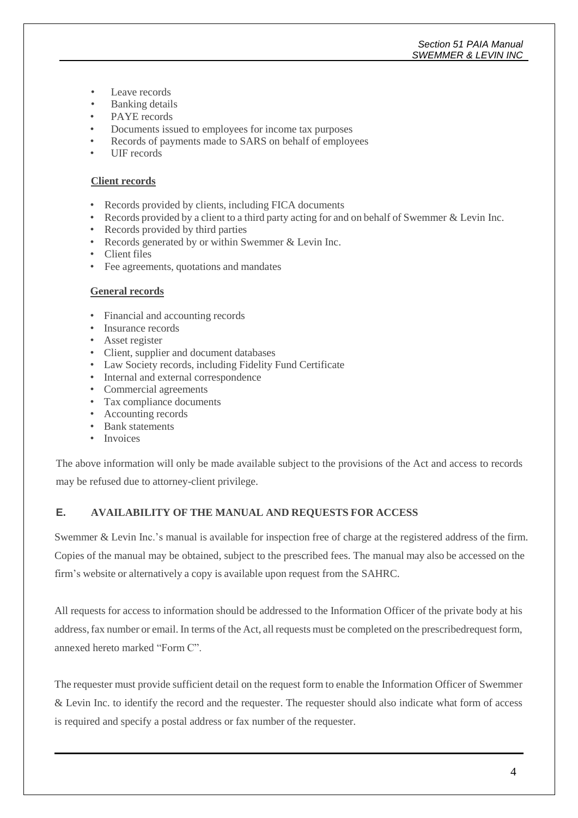### *Section 51 PAIA Manual SWEMMER & LEVIN INC*

- Leave records
- Banking details
- PAYE records
- Documents issued to employees for income tax purposes
- Records of payments made to SARS on behalf of employees
- UIF records

#### **Client records**

- Records provided by clients, including FICA documents
- Records provided by a client to a third party acting for and on behalf of Swemmer & Levin Inc.
- Records provided by third parties
- Records generated by or within Swemmer & Levin Inc.
- Client files
- Fee agreements, quotations and mandates

### **General records**

- Financial and accounting records
- Insurance records
- Asset register
- Client, supplier and document databases
- Law Society records, including Fidelity Fund Certificate
- Internal and external correspondence
- Commercial agreements
- Tax compliance documents
- Accounting records
- Bank statements
- Invoices

The above information will only be made available subject to the provisions of the Act and access to records may be refused due to attorney-client privilege.

### **E. AVAILABILITY OF THE MANUAL AND REQUESTS FOR ACCESS**

Swemmer & Levin Inc.'s manual is available for inspection free of charge at the registered address of the firm. Copies of the manual may be obtained, subject to the prescribed fees. The manual may also be accessed on the firm's website or alternatively a copy is available upon request from the SAHRC.

All requests for access to information should be addressed to the Information Officer of the private body at his address,fax number or email. In terms of the Act, all requests must be completed on the prescribedrequest form, annexed hereto marked "Form C".

The requester must provide sufficient detail on the request form to enable the Information Officer of Swemmer & Levin Inc. to identify the record and the requester. The requester should also indicate what form of access is required and specify a postal address or fax number of the requester.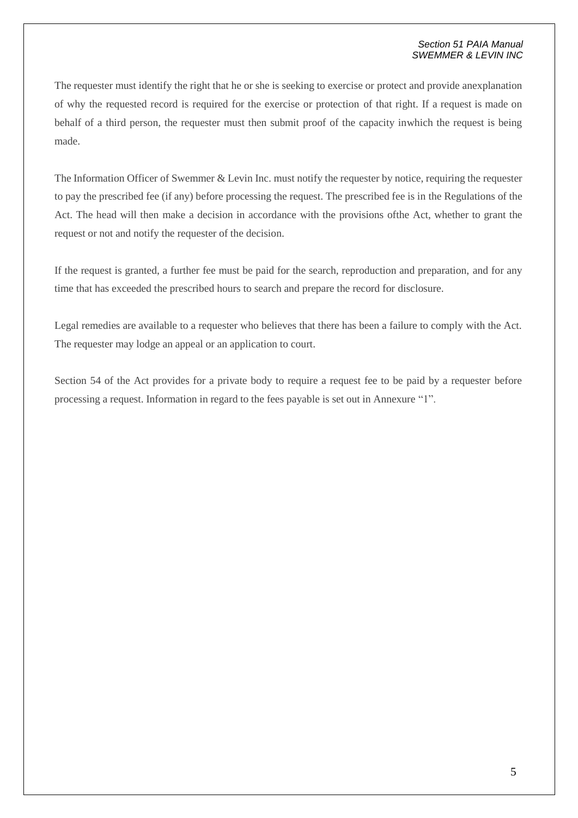#### *Section 51 PAIA Manual SWEMMER & LEVIN INC*

The requester must identify the right that he or she is seeking to exercise or protect and provide anexplanation of why the requested record is required for the exercise or protection of that right. If a request is made on behalf of a third person, the requester must then submit proof of the capacity inwhich the request is being made.

The Information Officer of Swemmer & Levin Inc. must notify the requester by notice, requiring the requester to pay the prescribed fee (if any) before processing the request. The prescribed fee is in the Regulations of the Act. The head will then make a decision in accordance with the provisions ofthe Act, whether to grant the request or not and notify the requester of the decision.

If the request is granted, a further fee must be paid for the search, reproduction and preparation, and for any time that has exceeded the prescribed hours to search and prepare the record for disclosure.

Legal remedies are available to a requester who believes that there has been a failure to comply with the Act. The requester may lodge an appeal or an application to court.

Section 54 of the Act provides for a private body to require a request fee to be paid by a requester before processing a request. Information in regard to the fees payable is set out in Annexure "1".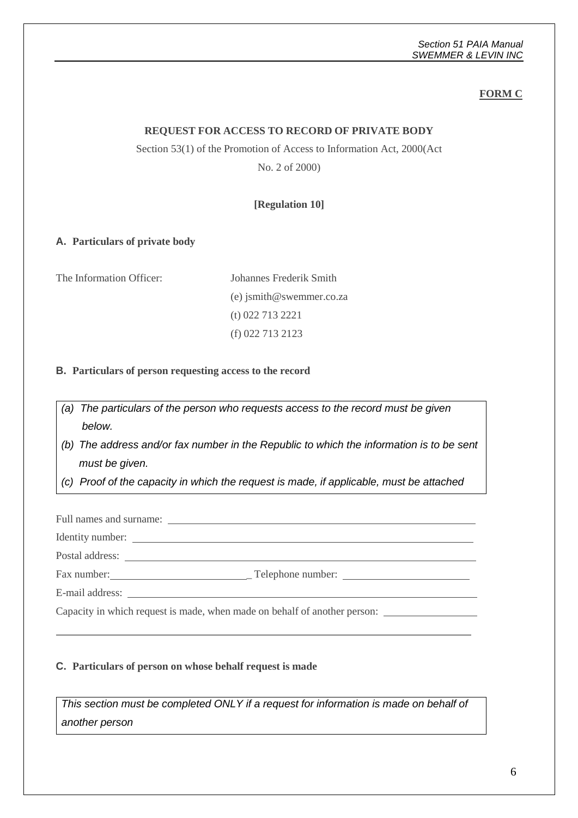## **FORM C**

### **REQUEST FOR ACCESS TO RECORD OF PRIVATE BODY**

## Section 53(1) of the Promotion of Access to Information Act, 2000(Act

No. 2 of 2000)

### **[Regulation 10]**

### **A. Particulars of private body**

The Information Officer: Johannes Frederik Smith

(e) [jsmith@swemmer.co.za](mailto:waldeck@waldeckattorneys.co.za) (t) 022 713 2221 (f) 022 713 2123

### **B. Particulars of person requesting access to the record**

*(a) The particulars of the person who requests access to the record must be given below.*

*(b) The address and/or fax number in the Republic to which the information is to be sent must be given.*

*(c) Proof of the capacity in which the request is made, if applicable, must be attached*

Full names and surname: Identity number:

Postal address:

Fax number: Telephone number:

E-mail address:

Capacity in which request is made, when made on behalf of another person:

#### **C. Particulars of person on whose behalf request is made**

*This section must be completed ONLY if a request for information is made on behalf of another person*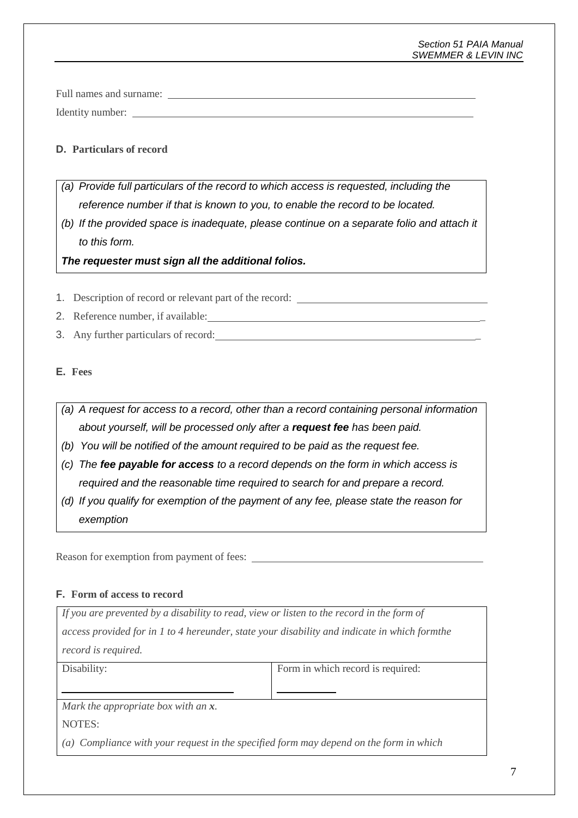### *Section 51 PAIA Manual SWEMMER & LEVIN INC*

Full names and surname: Identity number:

## **D. Particulars of record**

- *(a) Provide full particulars of the record to which access is requested, including the reference number if that is known to you, to enable the record to be located.*
- *(b) If the provided space is inadequate, please continue on a separate folio and attach it to this form.*

*The requester must sign all the additional folios.*

- 1. Description of record or relevant part of the record:
- 2. Reference number, if available:
- 3. Any further particulars of record: \_

## **E. Fees**

- *(a) A request for access to a record, other than a record containing personal information about yourself, will be processed only after a request fee has been paid.*
- *(b) You will be notified of the amount required to be paid as the request fee.*
- *(c) The fee payable for access to a record depends on the form in which access is required and the reasonable time required to search for and prepare a record.*
- *(d) If you qualify for exemption of the payment of any fee, please state the reason for exemption*

Reason for exemption from payment of fees:

## **F. Form of access to record**

*If you are prevented by a disability to read, view or listen to the record in the form of access provided for in 1 to 4 hereunder, state your disability and indicate in which formthe record is required.*

Disability: Form in which record is required:

*Mark the appropriate box with an x.*

NOTES:

*(a) Compliance with your request in the specified form may depend on the form in which*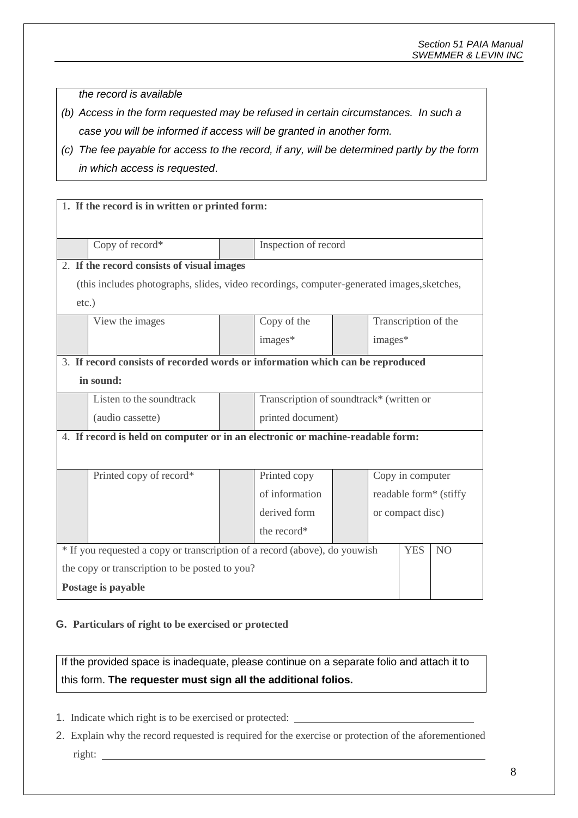*the record is available*

- *(b) Access in the form requested may be refused in certain circumstances. In such a case you will be informed if access will be granted in another form.*
- *(c) The fee payable for access to the record, if any, will be determined partly by the form in which access is requested*.

|                                                                                | 1. If the record is in written or printed form:                                            |  |                                          |  |                  |                      |                        |
|--------------------------------------------------------------------------------|--------------------------------------------------------------------------------------------|--|------------------------------------------|--|------------------|----------------------|------------------------|
|                                                                                |                                                                                            |  |                                          |  |                  |                      |                        |
|                                                                                | Copy of record*                                                                            |  | Inspection of record                     |  |                  |                      |                        |
|                                                                                | 2. If the record consists of visual images                                                 |  |                                          |  |                  |                      |                        |
|                                                                                | (this includes photographs, slides, video recordings, computer-generated images, sketches, |  |                                          |  |                  |                      |                        |
| $etc.$ )                                                                       |                                                                                            |  |                                          |  |                  |                      |                        |
|                                                                                | View the images                                                                            |  | Copy of the                              |  |                  | Transcription of the |                        |
|                                                                                |                                                                                            |  | images*<br>images*                       |  |                  |                      |                        |
| 3. If record consists of recorded words or information which can be reproduced |                                                                                            |  |                                          |  |                  |                      |                        |
| in sound:                                                                      |                                                                                            |  |                                          |  |                  |                      |                        |
|                                                                                | Listen to the soundtrack                                                                   |  | Transcription of soundtrack* (written or |  |                  |                      |                        |
|                                                                                | (audio cassette)                                                                           |  | printed document)                        |  |                  |                      |                        |
| 4. If record is held on computer or in an electronic or machine-readable form: |                                                                                            |  |                                          |  |                  |                      |                        |
|                                                                                |                                                                                            |  |                                          |  |                  |                      |                        |
|                                                                                | Printed copy of record*                                                                    |  | Printed copy                             |  | Copy in computer |                      |                        |
|                                                                                |                                                                                            |  | of information                           |  |                  |                      | readable form* (stiffy |
|                                                                                |                                                                                            |  | derived form                             |  |                  | or compact disc)     |                        |
|                                                                                |                                                                                            |  | the record*                              |  |                  |                      |                        |
|                                                                                |                                                                                            |  |                                          |  |                  | <b>YES</b>           | N <sub>O</sub>         |
| * If you requested a copy or transcription of a record (above), do you wish    |                                                                                            |  |                                          |  |                  |                      |                        |
| the copy or transcription to be posted to you?                                 |                                                                                            |  |                                          |  |                  |                      |                        |
| Postage is payable                                                             |                                                                                            |  |                                          |  |                  |                      |                        |

### **G. Particulars of right to be exercised or protected**

If the provided space is inadequate, please continue on a separate folio and attach it to this form. **The requester must sign all the additional folios.**

- 1. Indicate which right is to be exercised or protected:
- 2. Explain why the record requested is required for the exercise or protection of the aforementioned right: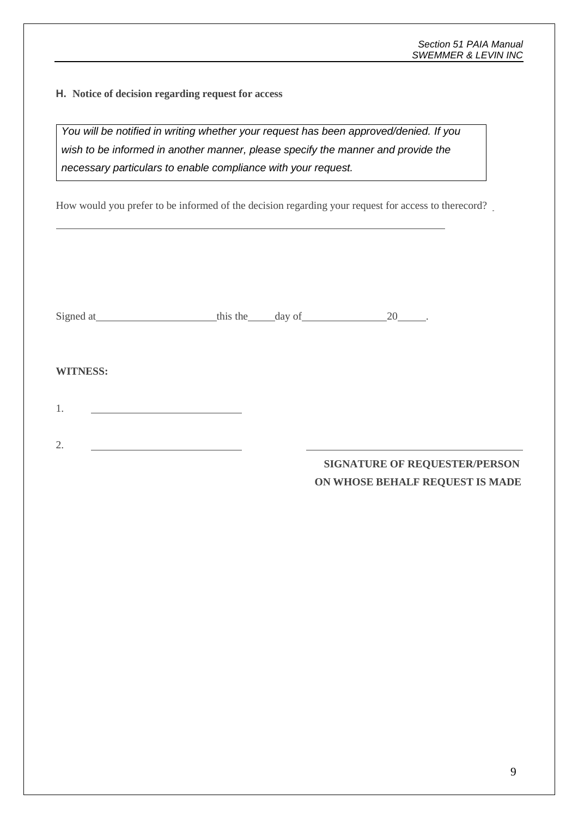**H. Notice of decision regarding request for access**

*You will be notified in writing whether your request has been approved/denied. If you wish to be informed in another manner, please specify the manner and provide the necessary particulars to enable compliance with your request.*

How would you prefer to be informed of the decision regarding your request for access to therecord?

| Signed at<br>,,,,, |
|--------------------|
|--------------------|

### **WITNESS:**

1.

2.

# **SIGNATURE OF REQUESTER/PERSON ON WHOSE BEHALF REQUEST IS MADE**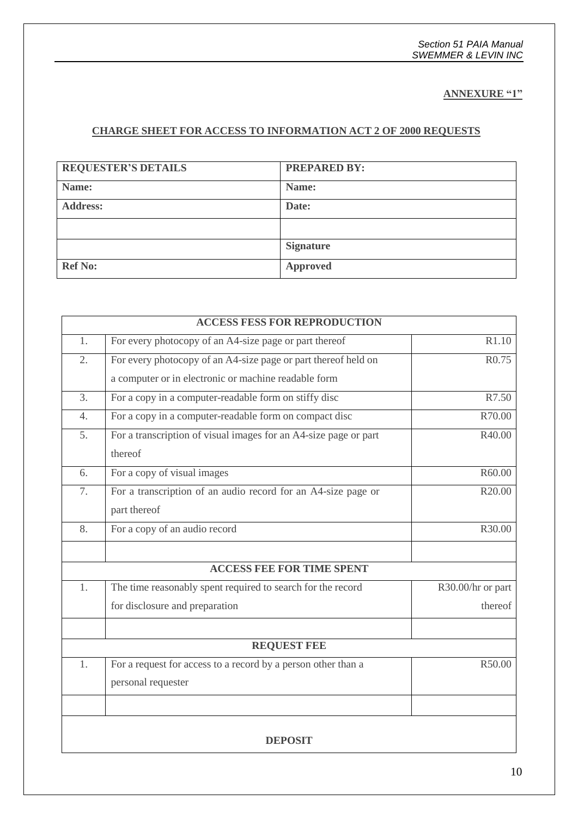**ANNEXURE "1"**

# **CHARGE SHEET FOR ACCESS TO INFORMATION ACT 2 OF 2000 REQUESTS**

| <b>REQUESTER'S DETAILS</b> | <b>PREPARED BY:</b> |
|----------------------------|---------------------|
| Name:                      | Name:               |
| <b>Address:</b>            | Date:               |
|                            |                     |
|                            | <b>Signature</b>    |
| <b>Ref No:</b>             | <b>Approved</b>     |

| <b>ACCESS FESS FOR REPRODUCTION</b> |                                                                  |                   |  |  |
|-------------------------------------|------------------------------------------------------------------|-------------------|--|--|
| 1.                                  | For every photocopy of an A4-size page or part thereof           | R1.10             |  |  |
| $\overline{2}$ .                    | For every photocopy of an A4-size page or part thereof held on   | R <sub>0.75</sub> |  |  |
|                                     | a computer or in electronic or machine readable form             |                   |  |  |
| $\overline{3}$ .                    | For a copy in a computer-readable form on stiffy disc            | R7.50             |  |  |
| $\overline{4}$ .                    | For a copy in a computer-readable form on compact disc           | R70.00            |  |  |
| 5.                                  | For a transcription of visual images for an A4-size page or part | R40.00            |  |  |
|                                     | thereof                                                          |                   |  |  |
| 6.                                  | For a copy of visual images                                      | R60.00            |  |  |
| 7.                                  | For a transcription of an audio record for an A4-size page or    | R20.00            |  |  |
|                                     | part thereof                                                     |                   |  |  |
| 8.                                  | For a copy of an audio record                                    | R30.00            |  |  |
|                                     |                                                                  |                   |  |  |
| <b>ACCESS FEE FOR TIME SPENT</b>    |                                                                  |                   |  |  |
| 1.                                  | The time reasonably spent required to search for the record      | R30.00/hr or part |  |  |
|                                     | for disclosure and preparation                                   | thereof           |  |  |
|                                     |                                                                  |                   |  |  |
| <b>REQUEST FEE</b>                  |                                                                  |                   |  |  |
| 1.                                  | For a request for access to a record by a person other than a    | R50.00            |  |  |
|                                     | personal requester                                               |                   |  |  |
|                                     |                                                                  |                   |  |  |
| <b>DEPOSIT</b>                      |                                                                  |                   |  |  |